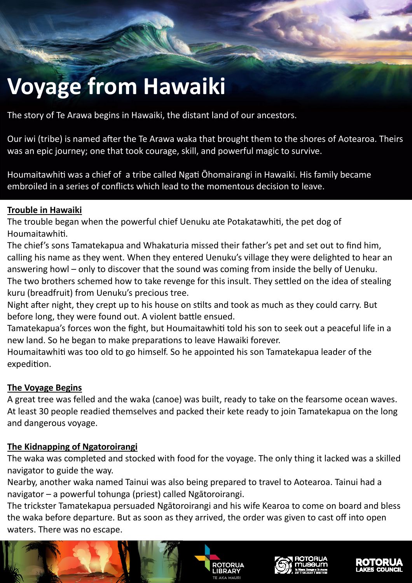# **Voyage from Hawaiki**

The story of Te Arawa begins in Hawaiki, the distant land of our ancestors.

Our iwi (tribe) is named after the Te Arawa waka that brought them to the shores of Aotearoa. Theirs was an epic journey; one that took courage, skill, and powerful magic to survive.

Houmaitawhiti was a chief of a tribe called Ngati Ohomairangi in Hawaiki. His family became embroiled in a series of conflicts which lead to the momentous decision to leave.

#### **Trouble in Hawaiki**

The trouble began when the powerful chief Uenuku ate Potakatawhiti, the pet dog of Houmaitawhiti.

The chief's sons Tamatekapua and Whakaturia missed their father's pet and set out to find him, calling his name as they went. When they entered Uenuku's village they were delighted to hear an answering howl – only to discover that the sound was coming from inside the belly of Uenuku. The two brothers schemed how to take revenge for this insult. They settled on the idea of stealing kuru (breadfruit) from Uenuku's precious tree.

Night after night, they crept up to his house on stilts and took as much as they could carry. But before long, they were found out. A violent battle ensued.

Tamatekapua's forces won the fight, but Houmaitawhiti told his son to seek out a peaceful life in a new land. So he began to make preparations to leave Hawaiki forever.

Houmaitawhiti was too old to go himself. So he appointed his son Tamatekapua leader of the expedition.

## **The Voyage Begins**

A great tree was felled and the waka (canoe) was built, ready to take on the fearsome ocean waves. At least 30 people readied themselves and packed their kete ready to join Tamatekapua on the long and dangerous voyage.

## **The Kidnapping of Ngatoroirangi**

The waka was completed and stocked with food for the voyage. The only thing it lacked was a skilled navigator to guide the way.

Nearby, another waka named Tainui was also being prepared to travel to Aotearoa. Tainui had a navigator – a powerful tohunga (priest) called Ngātoroirangi.

The trickster Tamatekapua persuaded Ngātoroirangi and his wife Kearoa to come on board and bless the waka before departure. But as soon as they arrived, the order was given to cast off into open waters. There was no escape.